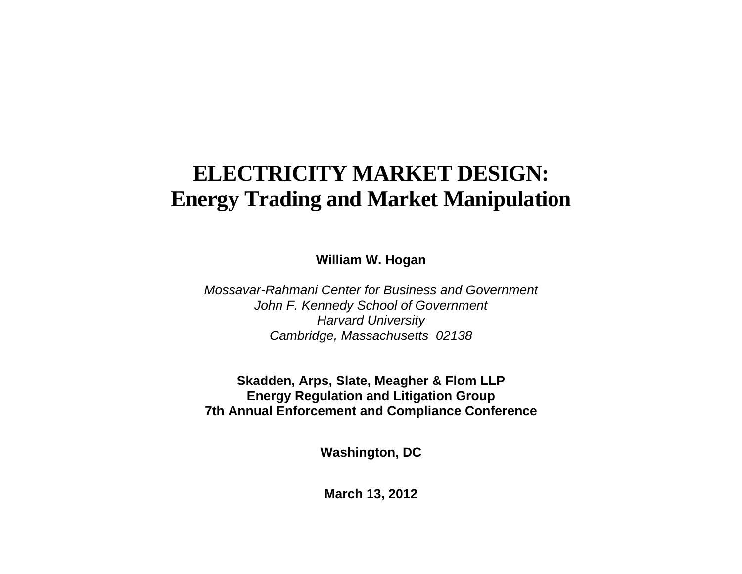# **ELECTRICITY MARKET DESIGN: Energy Trading and Market Manipulation**

**William W. Hogan** 

*Mossavar-Rahmani Center for Business and Government John F. Kennedy School of Government Harvard University Cambridge, Massachusetts 02138* 

**Skadden, Arps, Slate, Meagher & Flom LLP Energy Regulation and Litigation Group 7th Annual Enforcement and Compliance Conference** 

**Washington, DC** 

**March 13, 2012**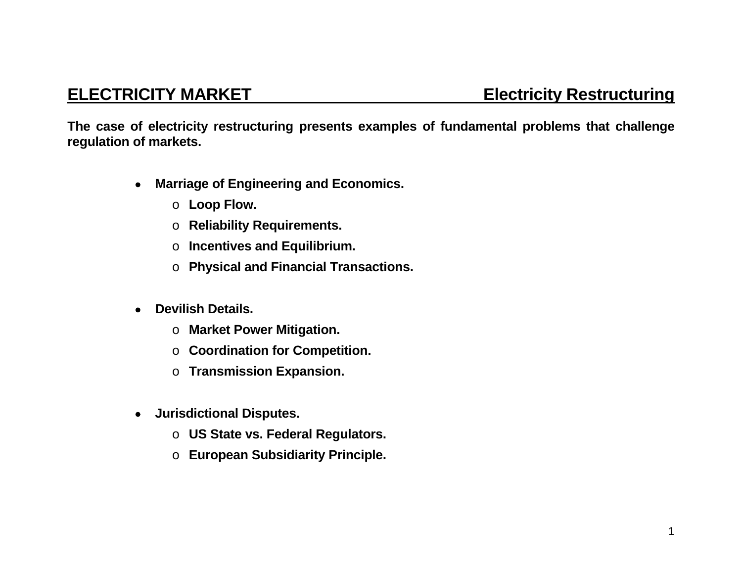**The case of electricity restructuring presents examples of fundamental problems that challenge regulation of markets.** 

- **Marriage of Engineering and Economics.** 
	- o **Loop Flow.**
	- o **Reliability Requirements.**
	- o **Incentives and Equilibrium.**
	- o **Physical and Financial Transactions.**
- **Devilish Details.** 
	- o **Market Power Mitigation.**
	- o **Coordination for Competition.**
	- o **Transmission Expansion.**
- **Jurisdictional Disputes.** 
	- o **US State vs. Federal Regulators.**
	- o **European Subsidiarity Principle.**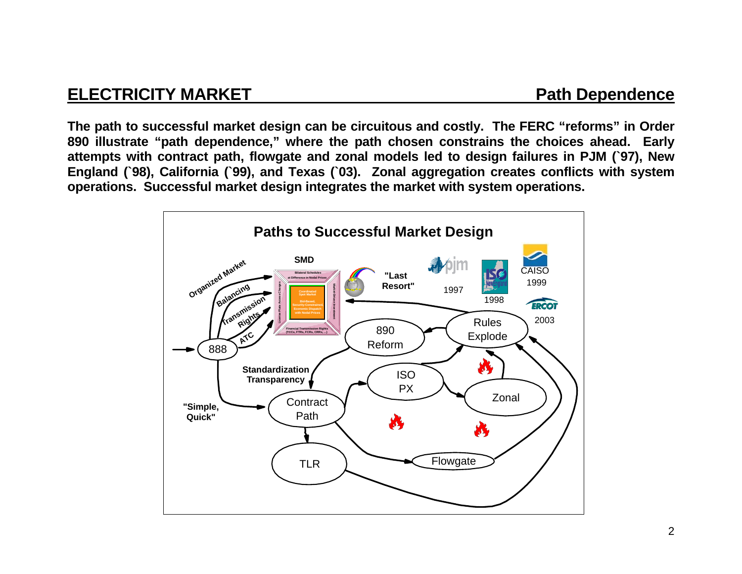## **ELECTRICITY MARKET Path Dependence**

**The path to successful market design can be circuitous and costly. The FERC "reforms" in Order 890 illustrate "path dependence," where the path chosen constrains the choices ahead. Early attempts with contract path, flowgate and zonal models led to design failures in PJM (`97), New England (`98), California (`99), and Texas (`03). Zonal aggregation creates conflicts with system operations. Successful market design integrates the market with system operations.** 

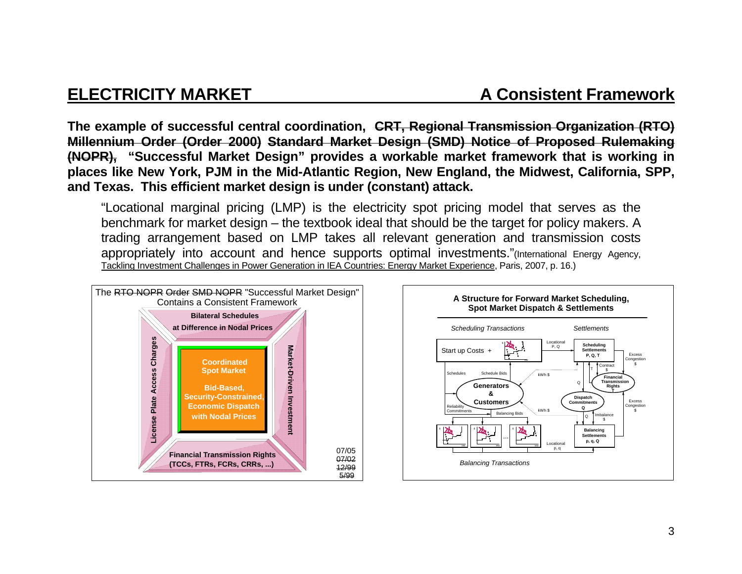**The example of successful central coordination, CRT, Regional Transmission Organization (RTO) Millennium Order (Order 2000) Standard Market Design (SMD) Notice of Proposed Rulemaking (NOPR), "Successful Market Design" provides a workable market framework that is working in places like New York, PJM in the Mid-Atlantic Region, New England, the Midwest, California, SPP, and Texas. This efficient market design is under (constant) attack.**

"Locational marginal pricing (LMP) is the electricity spot pricing model that serves as the benchmark for market design – the textbook ideal that should be the target for policy makers. A trading arrangement based on LMP takes all relevant generation and transmission costs appropriately into account and hence supports optimal investments."(International Energy Agency, Tackling Investment Challenges in Power Generation in IEA Countries: Energy Market Experience, Paris, 2007, p. 16.)



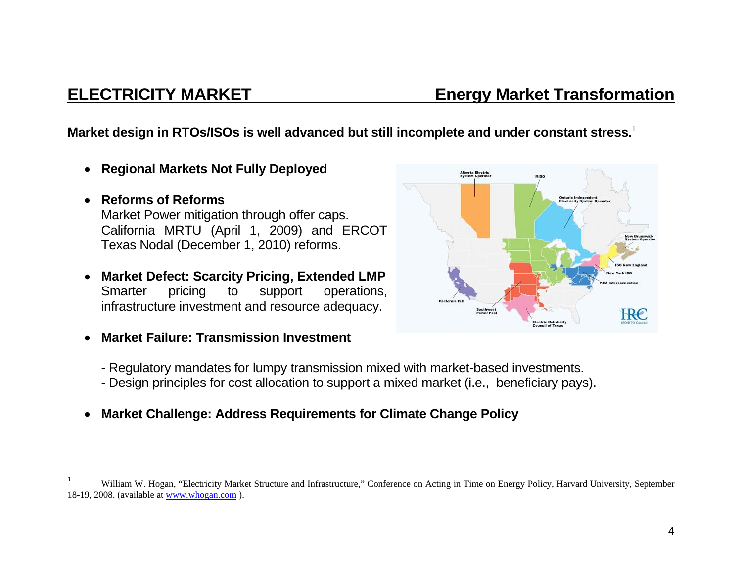## **ELECTRICITY MARKET Energy Market Transformation**

**Market design in RTOs/ISOs is well advanced but still incomplete and under constant stress.**<sup>1</sup>

- $\bullet$ **Regional Markets Not Fully Deployed**
- $\bullet$  **Reforms of Reforms**  Market Power mitigation through offer caps. California MRTU (April 1, 2009) and ERCOT Texas Nodal (December 1, 2010) reforms.
- $\bullet$  **Market Defect: Scarcity Pricing, Extended LMP**  Smarter pricing to support operations, infrastructure investment and resource adequacy.
- $\bullet$ **Market Failure: Transmission Investment**



- Regulatory mandates for lumpy transmission mixed with market-based investments.
- Design principles for cost allocation to support a mixed market (i.e., beneficiary pays).
- $\bullet$ **Market Challenge: Address Requirements for Climate Change Policy**

William W. Hogan, "Electricity Market Structure and Infrastructure," Conference on Acting in Time on Energy Policy, Harvard University, September 18-19, 2008. (available at www.whogan.com ).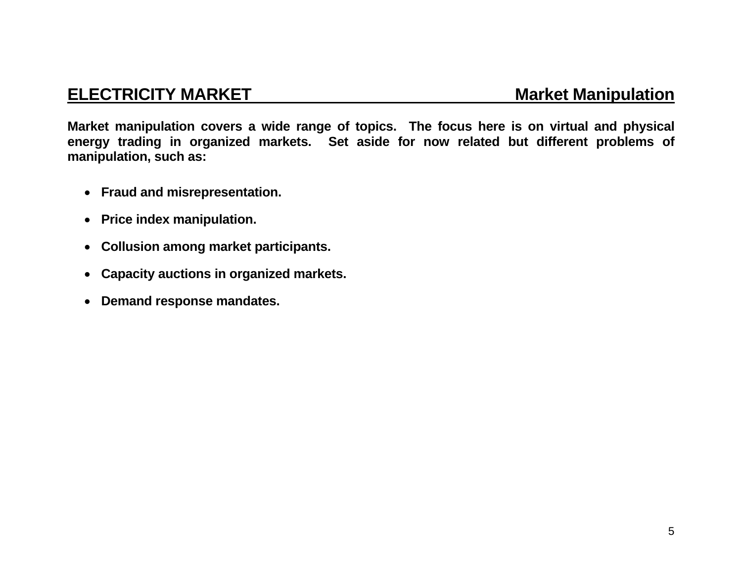### **ELECTRICITY MARKET MARKET Market Manipulation**

**Market manipulation covers a wide range of topics. The focus here is on virtual and physical energy trading in organized markets. Set aside for now related but different problems of manipulation, such as:** 

- **Fraud and misrepresentation.**
- **Price index manipulation.**
- **Collusion among market participants.**
- $\bullet$ **Capacity auctions in organized markets.**
- $\bullet$ **Demand response mandates.**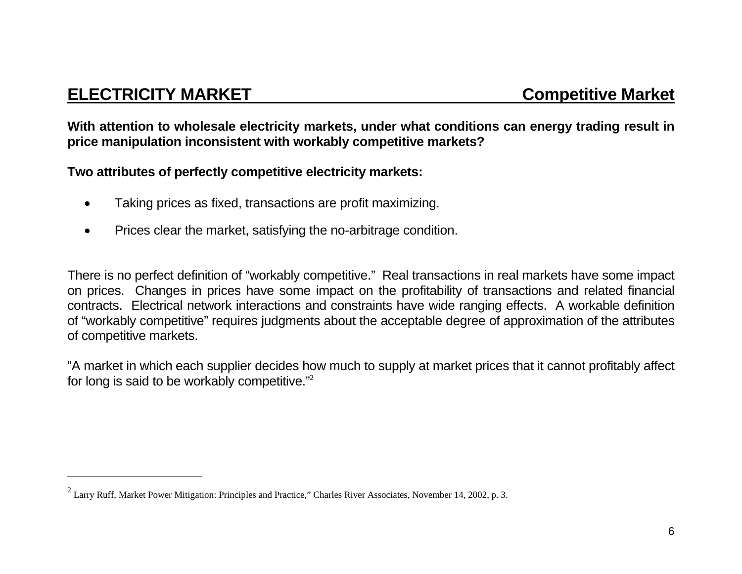## **ELECTRICITY MARKET COMPETERITY MARKET**

**With attention to wholesale electricity markets, under what conditions can energy trading result in price manipulation inconsistent with workably competitive markets?** 

**Two attributes of perfectly competitive electricity markets:** 

- Taking prices as fixed, transactions are profit maximizing.
- Prices clear the market, satisfying the no-arbitrage condition.

There is no perfect definition of "workably competitive." Real transactions in real markets have some impact on prices. Changes in prices have some impact on the profitability of transactions and related financial contracts. Electrical network interactions and constraints have wide ranging effects. A workable definition of "workably competitive" requires judgments about the acceptable degree of approximation of the attributes of competitive markets.

"A market in which each supplier decides how much to supply at market prices that it cannot profitably affect for long is said to be workably competitive."<sup>2</sup>

<sup>&</sup>lt;sup>2</sup> Larry Ruff, Market Power Mitigation: Principles and Practice," Charles River Associates, November 14, 2002, p. 3.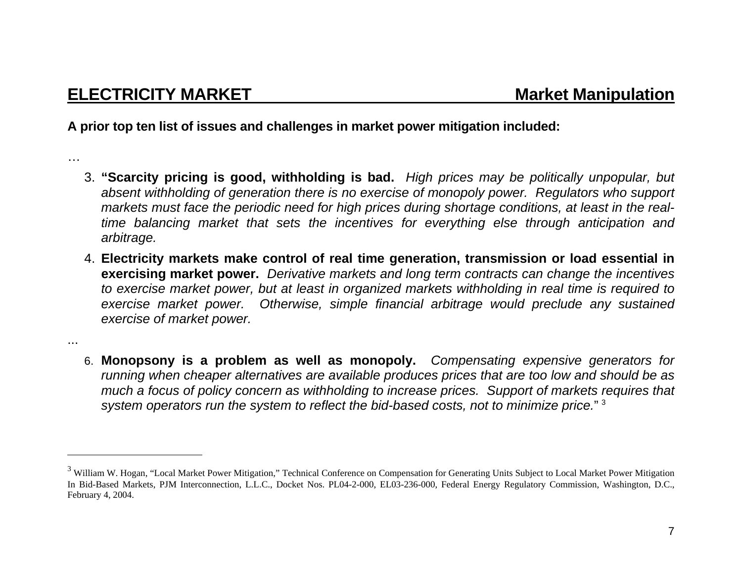…

...

**A prior top ten list of issues and challenges in market power mitigation included:** 

- 3. **"Scarcity pricing is good, withholding is bad.** *High prices may be politically unpopular, but absent withholding of generation there is no exercise of monopoly power. Regulators who support markets must face the periodic need for high prices during shortage conditions, at least in the realtime balancing market that sets the incentives for everything else through anticipation and arbitrage.*
- 4. **Electricity markets make control of real time generation, transmission or load essential in exercising market power.** *Derivative markets and long term contracts can change the incentives to exercise market power, but at least in organized markets withholding in real time is required to exercise market power. Otherwise, simple financial arbitrage would preclude any sustained exercise of market power.*
- 6. **Monopsony is a problem as well as monopoly.** *Compensating expensive generators for running when cheaper alternatives are available produces prices that are too low and should be as much a focus of policy concern as withholding to increase prices. Support of markets requires that system operators run the system to reflect the bid-based costs, not to minimize price.*" <sup>3</sup>

<sup>&</sup>lt;sup>3</sup> William W. Hogan, "Local Market Power Mitigation," Technical Conference on Compensation for Generating Units Subject to Local Market Power Mitigation In Bid-Based Markets, PJM Interconnection, L.L.C., Docket Nos. PL04-2-000, EL03-236-000, Federal Energy Regulatory Commission, Washington, D.C., February 4, 2004.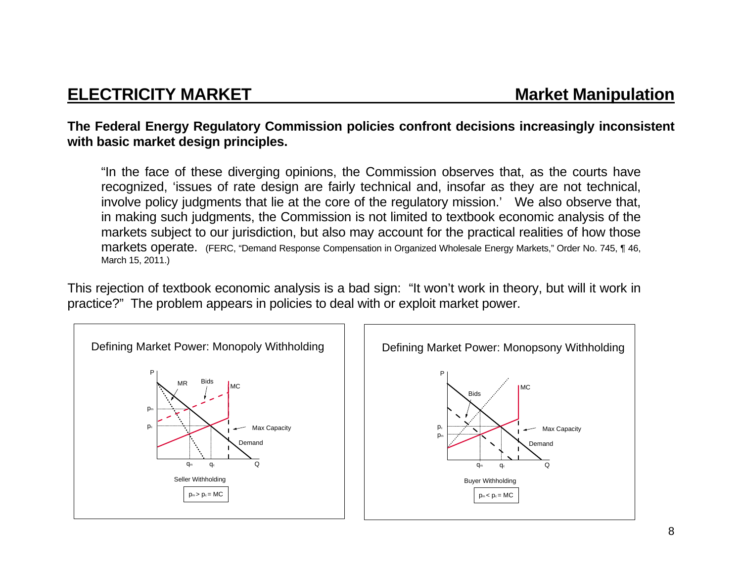## **ELECTRICITY MARKET MARKET Market Manipulation**

### **The Federal Energy Regulatory Commission policies confront decisions increasingly inconsistent with basic market design principles.**

"In the face of these diverging opinions, the Commission observes that, as the courts have recognized, 'issues of rate design are fairly technical and, insofar as they are not technical, involve policy judgments that lie at the core of the regulatory mission.' We also observe that, in making such judgments, the Commission is not limited to textbook economic analysis of the markets subject to our jurisdiction, but also may account for the practical realities of how those markets operate. (FERC, "Demand Response Compensation in Organized Wholesale Energy Markets," Order No. 745, ¶ 46, March 15, 2011.)

This rejection of textbook economic analysis is a bad sign: "It won't work in theory, but will it work in practice?" The problem appears in policies to deal with or exploit market power.

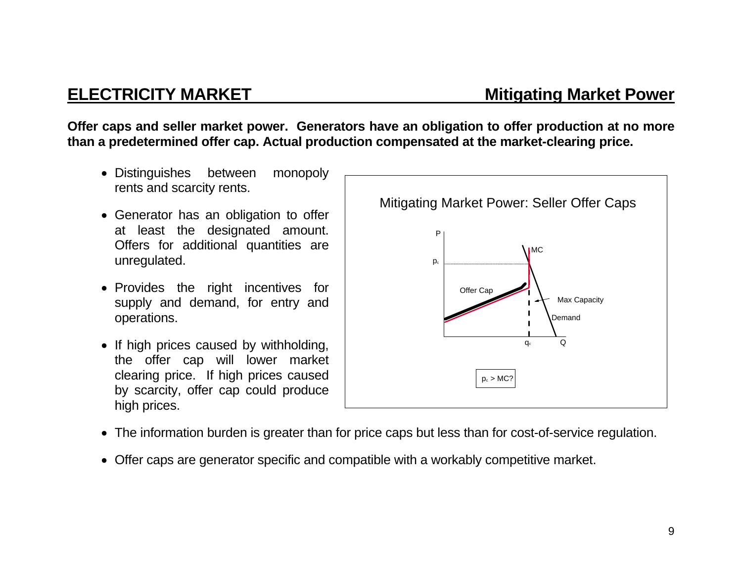**Offer caps and seller market power. Generators have an obligation to offer production at no more than a predetermined offer cap. Actual production compensated at the market-clearing price.** 

- Distinguishes between monopoly rents and scarcity rents.
- Generator has an obligation to offer at least the designated amount. Offers for additional quantities are unregulated.
- Provides the right incentives for supply and demand, for entry and operations.
- If high prices caused by withholding, the offer cap will lower market clearing price. If high prices caused by scarcity, offer cap could produce high prices.



- The information burden is greater than for price caps but less than for cost-of-service regulation.
- Offer caps are generator specific and compatible with a workably competitive market.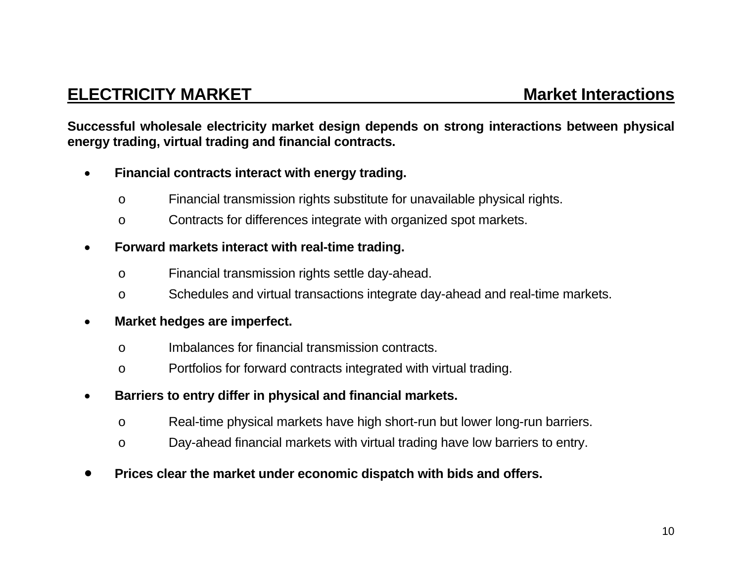## **ELECTRICITY MARKET MARKET** Market Interactions

**Successful wholesale electricity market design depends on strong interactions between physical energy trading, virtual trading and financial contracts.** 

- $\bullet$  **Financial contracts interact with energy trading.** 
	- <sup>o</sup> Financial transmission rights substitute for unavailable physical rights.
	- <sup>o</sup> Contracts for differences integrate with organized spot markets.

### $\bullet$ **Forward markets interact with real-time trading.**

- <sup>o</sup> Financial transmission rights settle day-ahead.
- <sup>o</sup> Schedules and virtual transactions integrate day-ahead and real-time markets.

### $\bullet$ **Market hedges are imperfect.**

- o Imbalances for financial transmission contracts.
- <sup>o</sup> Portfolios for forward contracts integrated with virtual trading.
- $\bullet$  **Barriers to entry differ in physical and financial markets.** 
	- <sup>o</sup> Real-time physical markets have high short-run but lower long-run barriers.
	- <sup>o</sup> Day-ahead financial markets with virtual trading have low barriers to entry.
- 0 **Prices clear the market under economic dispatch with bids and offers.**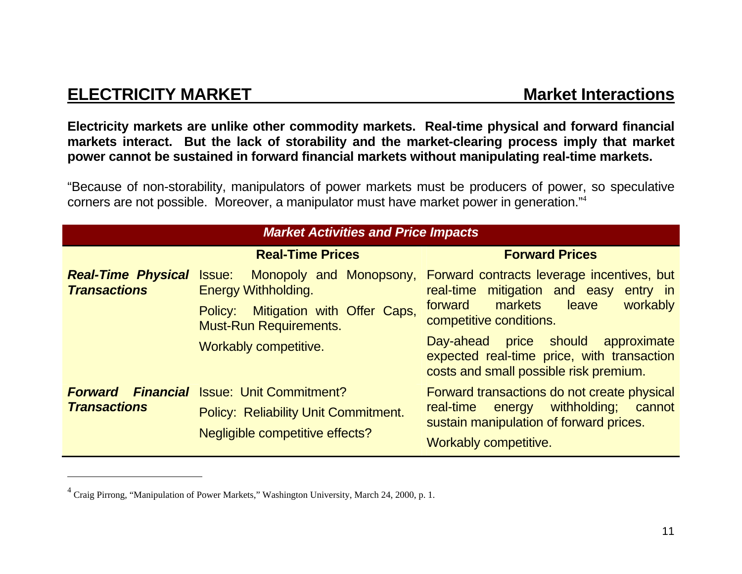## **ELECTRICITY MARKET MARKET MARKET MARKET MARKET MARKET MARKET MARKET MARKET MARKET MARKET MARKET MARKET MARKET**

**Electricity markets are unlike other commodity markets. Real-time physical and forward financial markets interact. But the lack of storability and the market-clearing process imply that market power cannot be sustained in forward financial markets without manipulating real-time markets.** 

"Because of non-storability, manipulators of power markets must be producers of power, so speculative corners are not possible. Moreover, a manipulator must have market power in generation."<sup>4</sup>

| <b>Market Activities and Price Impacts</b>       |                                                                                                                            |                                                                                                                                                                  |
|--------------------------------------------------|----------------------------------------------------------------------------------------------------------------------------|------------------------------------------------------------------------------------------------------------------------------------------------------------------|
|                                                  | <b>Real-Time Prices</b>                                                                                                    | <b>Forward Prices</b>                                                                                                                                            |
| <b>Real-Time Physical</b><br><b>Transactions</b> | <b>Issue:</b><br><b>Energy Withholding.</b>                                                                                | Monopoly and Monopsony, Forward contracts leverage incentives, but<br>mitigation and easy entry in<br>real-time                                                  |
|                                                  | Mitigation with Offer Caps,<br>Policy:<br><b>Must-Run Requirements.</b>                                                    | markets<br>workably<br>forward<br>leave<br>competitive conditions.                                                                                               |
|                                                  | <b>Workably competitive.</b>                                                                                               | Day-ahead price should approximate<br>expected real-time price, with transaction<br>costs and small possible risk premium.                                       |
| <b>Forward</b><br><b>Transactions</b>            | <b>Financial</b> Issue: Unit Commitment?<br><b>Policy: Reliability Unit Commitment.</b><br>Negligible competitive effects? | Forward transactions do not create physical<br>withholding;<br>real-time<br>cannot<br>energy<br>sustain manipulation of forward prices.<br>Workably competitive. |

 $4$  Craig Pirrong, "Manipulation of Power Markets," Washington University, March 24, 2000, p. 1.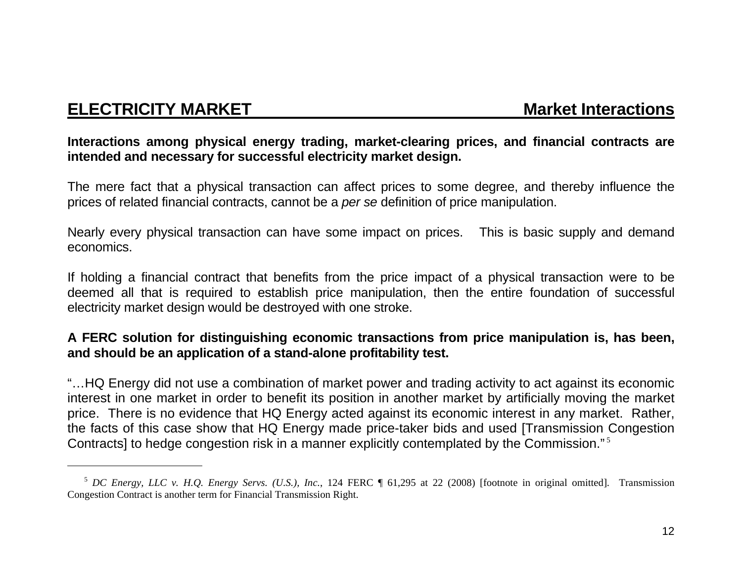## **ELECTRICITY MARKET**

**Market Interactions** 

### **Interactions among physical energy trading, market-clearing prices, and financial contracts are intended and necessary for successful electricity market design.**

The mere fact that a physical transaction can affect prices to some degree, and thereby influence the prices of related financial contracts, cannot be a *per se* definition of price manipulation.

Nearly every physical transaction can have some impact on prices. This is basic supply and demand economics.

If holding a financial contract that benefits from the price impact of a physical transaction were to be deemed all that is required to establish price manipulation, then the entire foundation of successful electricity market design would be destroyed with one stroke.

### **A FERC solution for distinguishing economic transactions from price manipulation is, has been, and should be an application of a stand-alone profitability test.**

"…HQ Energy did not use a combination of market power and trading activity to act against its economic interest in one market in order to benefit its position in another market by artificially moving the market price. There is no evidence that HQ Energy acted against its economic interest in any market. Rather, the facts of this case show that HQ Energy made price-taker bids and used [Transmission Congestion Contracts] to hedge congestion risk in a manner explicitly contemplated by the Commission."<sup>5</sup>

<sup>&</sup>lt;sup>5</sup> *DC Energy, LLC v. H.Q. Energy Servs. (U.S.), Inc.*, 124 FERC ¶ 61,295 at 22 (2008) [footnote in original omitted]. Transmission Congestion Contract is another term for Financial Transmission Right.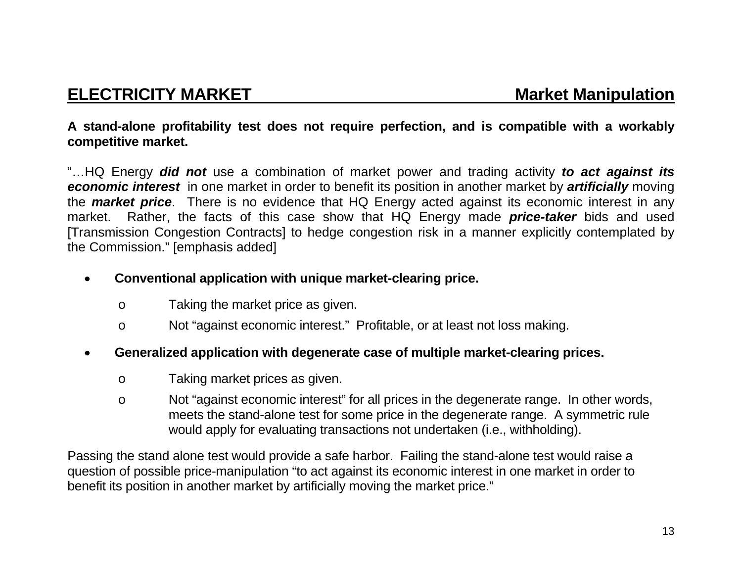### **A stand-alone profitability test does not require perfection, and is compatible with a workably competitive market.**

"…HQ Energy *did not* use a combination of market power and trading activity *to act against its economic interest* in one market in order to benefit its position in another market by *artificially* moving the *market price*. There is no evidence that HQ Energy acted against its economic interest in any market. Rather, the facts of this case show that HQ Energy made *price-taker* bids and used [Transmission Congestion Contracts] to hedge congestion risk in a manner explicitly contemplated by the Commission." [emphasis added]

### $\bullet$ **Conventional application with unique market-clearing price.**

- <sup>o</sup> Taking the market price as given.
- <sup>o</sup> Not "against economic interest." Profitable, or at least not loss making.

### $\bullet$ **Generalized application with degenerate case of multiple market-clearing prices.**

- <sup>o</sup> Taking market prices as given.
- <sup>o</sup> Not "against economic interest" for all prices in the degenerate range. In other words, meets the stand-alone test for some price in the degenerate range. A symmetric rule would apply for evaluating transactions not undertaken (i.e., withholding).

Passing the stand alone test would provide a safe harbor. Failing the stand-alone test would raise a question of possible price-manipulation "to act against its economic interest in one market in order to benefit its position in another market by artificially moving the market price."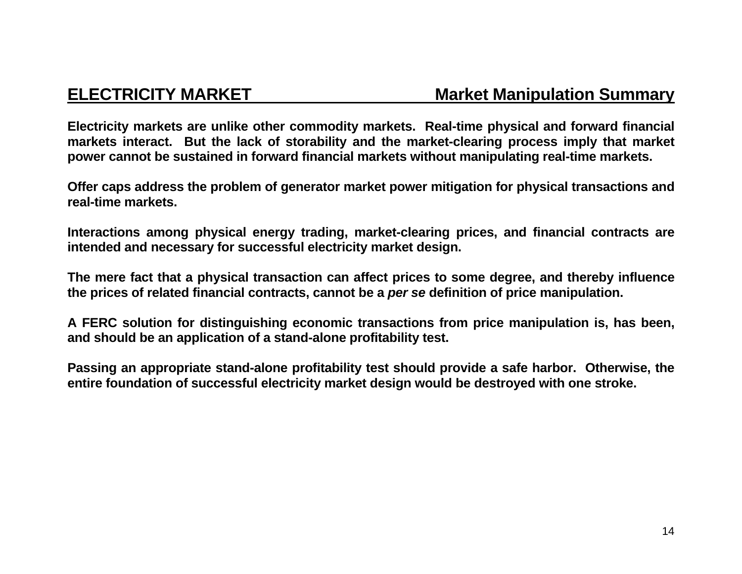### **ELECTRICITY MARKET Market Manipulation Summary**

**Electricity markets are unlike other commodity markets. Real-time physical and forward financial markets interact. But the lack of storability and the market-clearing process imply that market power cannot be sustained in forward financial markets without manipulating real-time markets.** 

**Offer caps address the problem of generator market power mitigation for physical transactions and real-time markets.** 

**Interactions among physical energy trading, market-clearing prices, and financial contracts are intended and necessary for successful electricity market design.** 

**The mere fact that a physical transaction can affect prices to some degree, and thereby influence the prices of related financial contracts, cannot be a** *per se* **definition of price manipulation.** 

**A FERC solution for distinguishing economic transactions from price manipulation is, has been, and should be an application of a stand-alone profitability test.** 

**Passing an appropriate stand-alone profitability test should provide a safe harbor. Otherwise, the entire foundation of successful electricity market design would be destroyed with one stroke.**